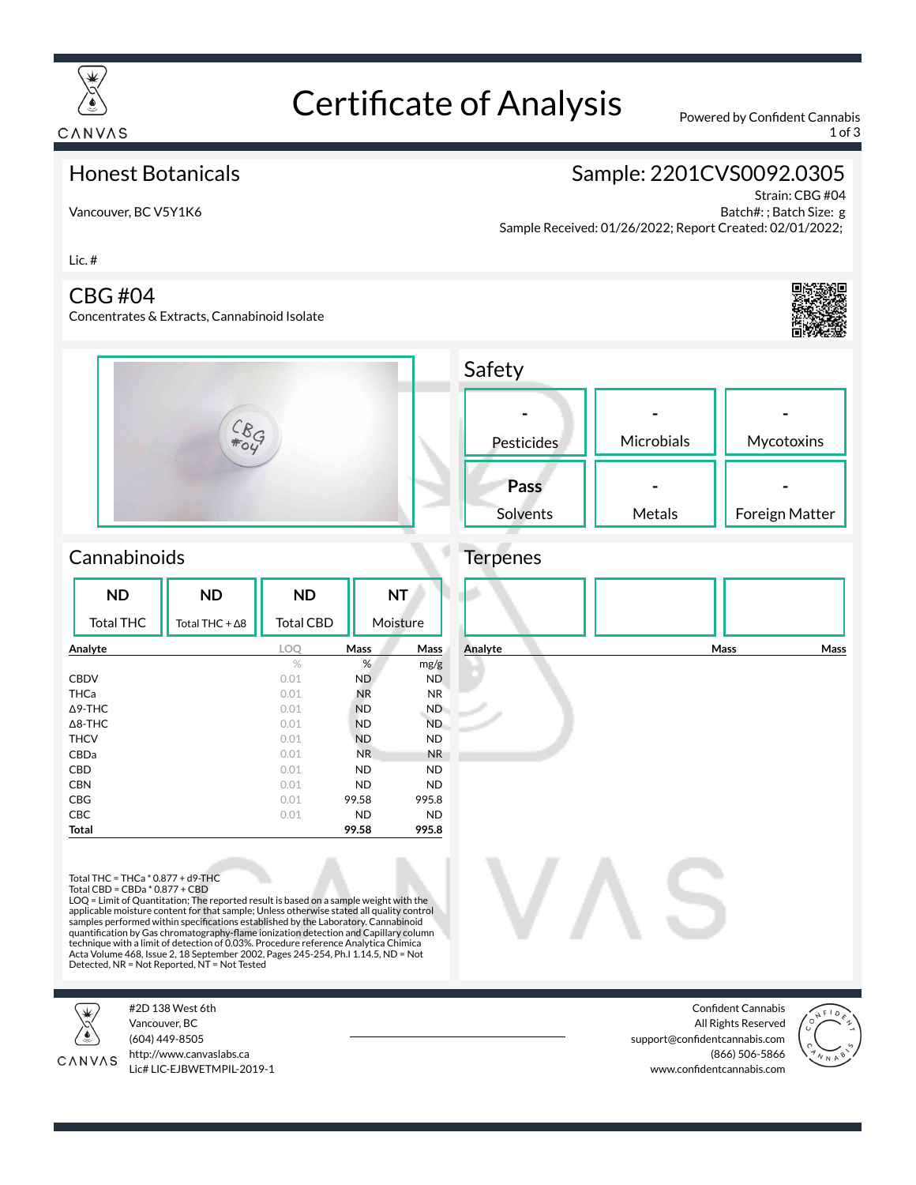

# Certificate of Analysis Powered by Confident Cannabis

**Safety** 

1 of 3

### Honest Botanicals

Vancouver, BC V5Y1K6

## Sample: 2201CVS0092.0305

Strain: CBG #04 Batch#: ; Batch Size: g Sample Received: 01/26/2022; Report Created: 02/01/2022;

Lic. #

#### CBG #04

Concentrates & Extracts, Cannabinoid Isolate





| Pesticides       | Microbials | Mycotoxins     |
|------------------|------------|----------------|
| Pass<br>Solvents | Metals     | Foreign Matter |

## Cannabinoids

| <b>ND</b>         | <b>ND</b>              | <b>ND</b>        |                | <b>NT</b>      |
|-------------------|------------------------|------------------|----------------|----------------|
| <b>Total THC</b>  | Total THC + $\Delta$ 8 | <b>Total CBD</b> |                | Moisture       |
| Analyte           |                        | <b>LOO</b>       | <b>Mass</b>    | Mass           |
|                   |                        | %                | %              | mg/g           |
| <b>CBDV</b>       |                        | 0.01             | ND             | <b>ND</b>      |
| THCa              |                        | 0.01             | <b>NR</b>      | N <sub>R</sub> |
| $\triangle$ 9-THC |                        | 0.01             | <b>ND</b>      | ND.            |
| $\triangle$ 8-THC |                        | 0.01             | <b>ND</b>      | ND.            |
| <b>THCV</b>       |                        | 0.01             | <b>ND</b>      | <b>ND</b>      |
| CBDa              |                        | 0.01             | N <sub>R</sub> | <b>NR</b>      |
| <b>CBD</b>        |                        | 0.01             | <b>ND</b>      | <b>ND</b>      |
| <b>CBN</b>        |                        | 0.01             | <b>ND</b>      | <b>ND</b>      |
| <b>CBG</b>        |                        | 0.01             | 99.58          | 995.8          |
| <b>CBC</b>        |                        | 0.01             | <b>ND</b>      | <b>ND</b>      |
| Total             |                        |                  | 99.58          | 995.8          |



Total THC = THCa \* 0.877 + d9-THC Total CBD = CBDa \* 0.877 + CBD

LOQ = Limit of Quantitation; The reported result is based on a sample weight with the applicable moisture content for that sample; Unless otherwise stated all quality control<br>samples performed within specifications established by the Laboratory. Cannabinoid<br>quantification by Gas chromatography-flame ionizat technique with a limit of detection of 0.03%. Procedure reference Analytica Chimica<br>Acta Volume 468, Issue 2, 18 September 2002, Pages 245-254, Ph.I 1.14.5, ND = Not<br>Detected, NR = Not Reported, NT = Not Tested

#2D 138 West 6th



Vancouver, BC (604) 449-8505

http://www.canvaslabs.ca CANVAS Lic# LIC-EJBWETMPIL-2019-1

Confident Cannabis All Rights Reserved support@confidentcannabis.com (866) 506-5866 www.confidentcannabis.com

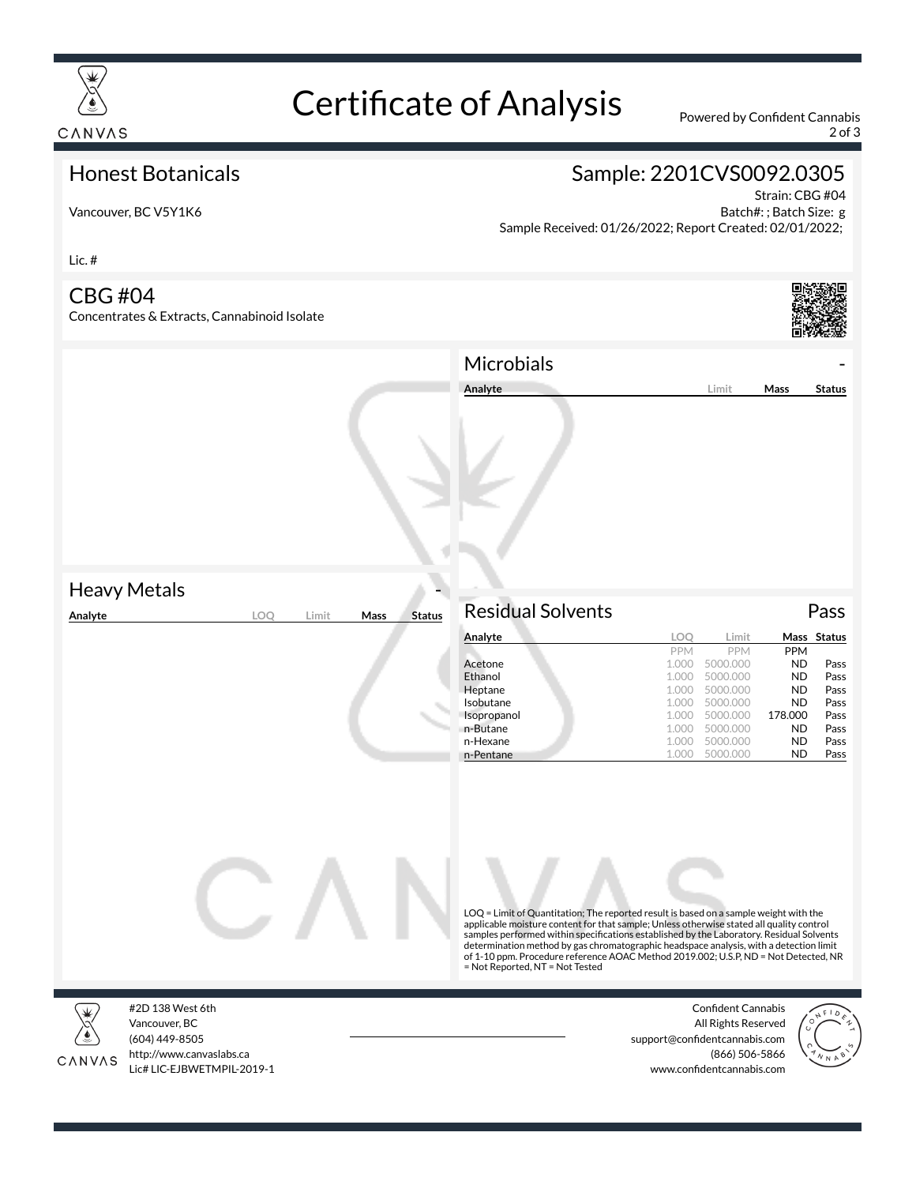

# Certificate of Analysis Powered by Confident Cannabis

2 of 3

### Honest Botanicals

## Sample: 2201CVS0092.0305

Vancouver, BC V5Y1K6

Strain: CBG #04 Batch#: ; Batch Size: g Sample Received: 01/26/2022; Report Created: 02/01/2022;

Lic. #

### CBG #04

Concentrates & Extracts, Cannabinoid Isolate



|                     |                                | Microbials                                                                                                                                                                                                                                                                                                                                                                                                                                                                                        |                                                                                                                                                                                                    |                                                                                                           |                                                                             |
|---------------------|--------------------------------|---------------------------------------------------------------------------------------------------------------------------------------------------------------------------------------------------------------------------------------------------------------------------------------------------------------------------------------------------------------------------------------------------------------------------------------------------------------------------------------------------|----------------------------------------------------------------------------------------------------------------------------------------------------------------------------------------------------|-----------------------------------------------------------------------------------------------------------|-----------------------------------------------------------------------------|
|                     |                                | Analyte                                                                                                                                                                                                                                                                                                                                                                                                                                                                                           | Limit                                                                                                                                                                                              | Mass                                                                                                      | <b>Status</b>                                                               |
| <b>Heavy Metals</b> |                                |                                                                                                                                                                                                                                                                                                                                                                                                                                                                                                   |                                                                                                                                                                                                    |                                                                                                           |                                                                             |
| Analyte<br>LOQ      | <b>Status</b><br>Limit<br>Mass | <b>Residual Solvents</b>                                                                                                                                                                                                                                                                                                                                                                                                                                                                          |                                                                                                                                                                                                    |                                                                                                           | Pass                                                                        |
|                     |                                | Analyte<br>Acetone<br>Ethanol<br>Heptane<br>Isobutane<br>Isopropanol<br>n-Butane<br>n-Hexane<br>n-Pentane                                                                                                                                                                                                                                                                                                                                                                                         | LOQ<br>Limit<br>PPM<br>PPM<br>1.000<br>5000.000<br>1.000<br>5000.000<br>1.000<br>5000.000<br>5000.000<br>1.000<br>5000.000<br>1.000<br>5000.000<br>1.000<br>1.000<br>5000.000<br>5000.000<br>1.000 | PPM<br><b>ND</b><br><b>ND</b><br><b>ND</b><br><b>ND</b><br>178.000<br><b>ND</b><br><b>ND</b><br><b>ND</b> | Mass Status<br>Pass<br>Pass<br>Pass<br>Pass<br>Pass<br>Pass<br>Pass<br>Pass |
|                     |                                | LOQ = Limit of Quantitation; The reported result is based on a sample weight with the<br>applicable moisture content for that sample; Unless otherwise stated all quality control<br>samples performed within specifications established by the Laboratory. Residual Solvents<br>determination method by gas chromatographic headspace analysis, with a detection limit<br>of 1-10 ppm. Procedure reference AOAC Method 2019.002; U.S.P, ND = Not Detected, NR<br>= Not Reported, NT = Not Tested |                                                                                                                                                                                                    |                                                                                                           |                                                                             |



#2D 138 West 6th Vancouver, BC (604) 449-8505 http://www.canvaslabs.ca Lic# LIC-EJBWETMPIL-2019-1

Confident Cannabis All Rights Reserved support@confidentcannabis.com (866) 506-5866 www.confidentcannabis.com